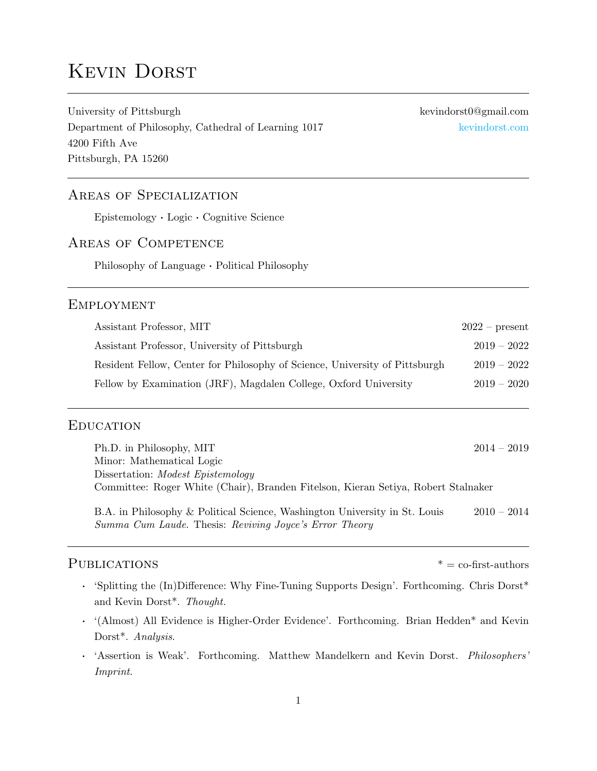# Kevin Dorst

University of Pittsburgh kevindorst0@gmail.com Department of Philosophy, Cathedral of Learning 1017 [kevindorst.com](https://www.kevindorst.com/) 4200 Fifth Ave Pittsburgh, PA 15260

# Areas of Specialization

Epistemology · Logic · Cognitive Science

# Areas of Competence

Philosophy of Language · Political Philosophy

# **EMPLOYMENT**

| Assistant Professor, MIT                                                    | $2022$ – present |
|-----------------------------------------------------------------------------|------------------|
| Assistant Professor, University of Pittsburgh                               | $2019 - 2022$    |
| Resident Fellow, Center for Philosophy of Science, University of Pittsburgh | $2019 - 2022$    |
| Fellow by Examination (JRF), Magdalen College, Oxford University            | $2019 - 2020$    |

#### **EDUCATION**

| Ph.D. in Philosophy, MIT                                                          | $2014 - 2019$ |
|-----------------------------------------------------------------------------------|---------------|
| Minor: Mathematical Logic                                                         |               |
| Dissertation: <i>Modest Epistemology</i>                                          |               |
| Committee: Roger White (Chair), Branden Fitelson, Kieran Setiya, Robert Stalnaker |               |
|                                                                                   |               |

B.A. in Philosophy & Political Science, Washington University in St. Louis 2010 – 2014 Summa Cum Laude. Thesis: Reviving Joyce's Error Theory

# $PUBLICATIONS$   $* = \text{co-first-authors}$

- · 'Splitting the (In)Difference: Why Fine-Tuning Supports Design'. Forthcoming. Chris Dorst\* and Kevin Dorst\*. Thought.
- · '(Almost) All Evidence is Higher-Order Evidence'. Forthcoming. Brian Hedden\* and Kevin Dorst\*. Analysis.
- · 'Assertion is Weak'. Forthcoming. Matthew Mandelkern and Kevin Dorst. Philosophers' Imprint.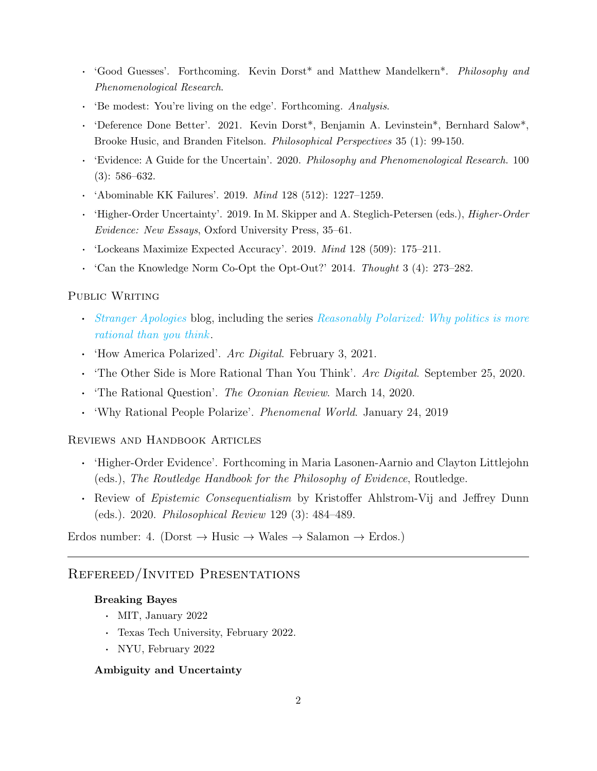- · 'Good Guesses'. Forthcoming. Kevin Dorst\* and Matthew Mandelkern\*. Philosophy and Phenomenological Research.
- · 'Be modest: You're living on the edge'. Forthcoming. Analysis.
- · 'Deference Done Better'. 2021. Kevin Dorst\*, Benjamin A. Levinstein\*, Bernhard Salow\*, Brooke Husic, and Branden Fitelson. Philosophical Perspectives 35 (1): 99-150.
- · 'Evidence: A Guide for the Uncertain'. 2020. Philosophy and Phenomenological Research. 100 (3): 586–632.
- · 'Abominable KK Failures'. 2019. Mind 128 (512): 1227–1259.
- · 'Higher-Order Uncertainty'. 2019. In M. Skipper and A. Steglich-Petersen (eds.), Higher-Order Evidence: New Essays, Oxford University Press, 35–61.
- · 'Lockeans Maximize Expected Accuracy'. 2019. Mind 128 (509): 175–211.
- · 'Can the Knowledge Norm Co-Opt the Opt-Out?' 2014. Thought 3 (4): 273–282.

#### PUBLIC WRITING

- · [Stranger Apologies](https://www.kevindorst.com/stranger_apologies/plea_for_political_empathy) blog, including the series [Reasonably Polarized: Why politics is more](https://www.kevindorst.com/stranger_apologies/rp) [rational than you think](https://www.kevindorst.com/stranger_apologies/rp).
- 'How America Polarized'. Arc Digital. February 3, 2021.
- The Other Side is More Rational Than You Think'. Arc Digital. September 25, 2020.
- · 'The Rational Question'. The Oxonian Review. March 14, 2020.
- · 'Why Rational People Polarize'. Phenomenal World. January 24, 2019

#### Reviews and Handbook Articles

- · 'Higher-Order Evidence'. Forthcoming in Maria Lasonen-Aarnio and Clayton Littlejohn (eds.), The Routledge Handbook for the Philosophy of Evidence, Routledge.
- · Review of Epistemic Consequentialism by Kristoffer Ahlstrom-Vij and Jeffrey Dunn (eds.). 2020. Philosophical Review 129 (3): 484–489.

Erdos number: 4. (Dorst  $\rightarrow$  Husic  $\rightarrow$  Wales  $\rightarrow$  Salamon  $\rightarrow$  Erdos.)

# Refereed/Invited Presentations

### Breaking Bayes

- · MIT, January 2022
- · Texas Tech University, February 2022.
- · NYU, February 2022

#### Ambiguity and Uncertainty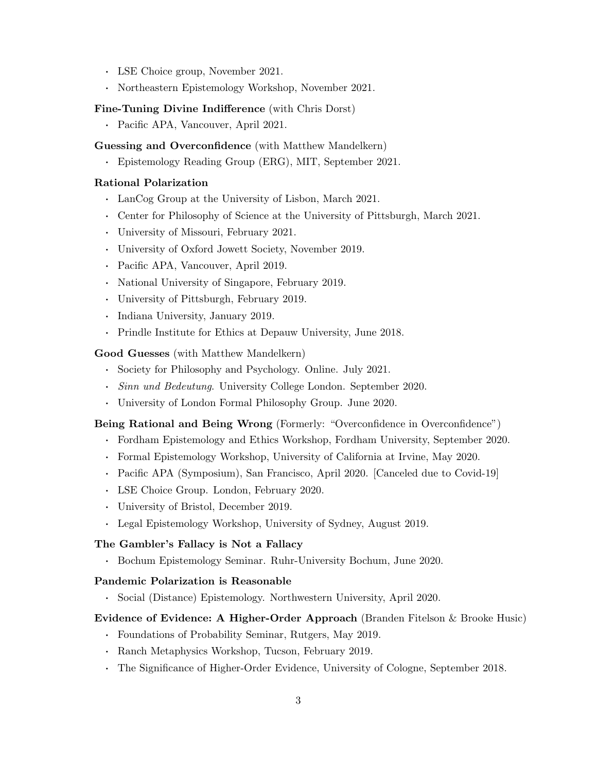- · LSE Choice group, November 2021.
- · Northeastern Epistemology Workshop, November 2021.

#### Fine-Tuning Divine Indifference (with Chris Dorst)

· Pacific APA, Vancouver, April 2021.

#### Guessing and Overconfidence (with Matthew Mandelkern)

· Epistemology Reading Group (ERG), MIT, September 2021.

#### Rational Polarization

- · LanCog Group at the University of Lisbon, March 2021.
- · Center for Philosophy of Science at the University of Pittsburgh, March 2021.
- · University of Missouri, February 2021.
- · University of Oxford Jowett Society, November 2019.
- · Pacific APA, Vancouver, April 2019.
- · National University of Singapore, February 2019.
- · University of Pittsburgh, February 2019.
- · Indiana University, January 2019.
- · Prindle Institute for Ethics at Depauw University, June 2018.

#### Good Guesses (with Matthew Mandelkern)

- · Society for Philosophy and Psychology. Online. July 2021.
- · Sinn und Bedeutung. University College London. September 2020.
- · University of London Formal Philosophy Group. June 2020.

#### Being Rational and Being Wrong (Formerly: "Overconfidence in Overconfidence")

- · Fordham Epistemology and Ethics Workshop, Fordham University, September 2020.
- · Formal Epistemology Workshop, University of California at Irvine, May 2020.
- · Pacific APA (Symposium), San Francisco, April 2020. [Canceled due to Covid-19]
- · LSE Choice Group. London, February 2020.
- · University of Bristol, December 2019.
- · Legal Epistemology Workshop, University of Sydney, August 2019.

#### The Gambler's Fallacy is Not a Fallacy

· Bochum Epistemology Seminar. Ruhr-University Bochum, June 2020.

#### Pandemic Polarization is Reasonable

· Social (Distance) Epistemology. Northwestern University, April 2020.

#### Evidence of Evidence: A Higher-Order Approach (Branden Fitelson & Brooke Husic)

- · Foundations of Probability Seminar, Rutgers, May 2019.
- · Ranch Metaphysics Workshop, Tucson, February 2019.
- · The Significance of Higher-Order Evidence, University of Cologne, September 2018.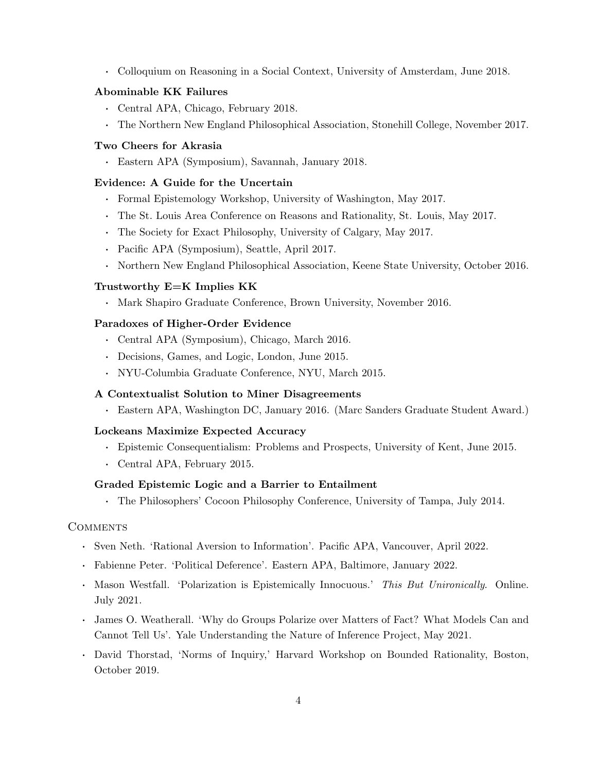· Colloquium on Reasoning in a Social Context, University of Amsterdam, June 2018.

#### Abominable KK Failures

- · Central APA, Chicago, February 2018.
- · The Northern New England Philosophical Association, Stonehill College, November 2017.

#### Two Cheers for Akrasia

· Eastern APA (Symposium), Savannah, January 2018.

#### Evidence: A Guide for the Uncertain

- · Formal Epistemology Workshop, University of Washington, May 2017.
- · The St. Louis Area Conference on Reasons and Rationality, St. Louis, May 2017.
- · The Society for Exact Philosophy, University of Calgary, May 2017.
- · Pacific APA (Symposium), Seattle, April 2017.
- · Northern New England Philosophical Association, Keene State University, October 2016.

#### Trustworthy E=K Implies KK

· Mark Shapiro Graduate Conference, Brown University, November 2016.

#### Paradoxes of Higher-Order Evidence

- · Central APA (Symposium), Chicago, March 2016.
- · Decisions, Games, and Logic, London, June 2015.
- · NYU-Columbia Graduate Conference, NYU, March 2015.

#### A Contextualist Solution to Miner Disagreements

· Eastern APA, Washington DC, January 2016. (Marc Sanders Graduate Student Award.)

#### Lockeans Maximize Expected Accuracy

- · Epistemic Consequentialism: Problems and Prospects, University of Kent, June 2015.
- · Central APA, February 2015.

#### Graded Epistemic Logic and a Barrier to Entailment

· The Philosophers' Cocoon Philosophy Conference, University of Tampa, July 2014.

#### **COMMENTS**

- · Sven Neth. 'Rational Aversion to Information'. Pacific APA, Vancouver, April 2022.
- · Fabienne Peter. 'Political Deference'. Eastern APA, Baltimore, January 2022.
- · Mason Westfall. 'Polarization is Epistemically Innocuous.' This But Unironically. Online. July 2021.
- · James O. Weatherall. 'Why do Groups Polarize over Matters of Fact? What Models Can and Cannot Tell Us'. Yale Understanding the Nature of Inference Project, May 2021.
- · David Thorstad, 'Norms of Inquiry,' Harvard Workshop on Bounded Rationality, Boston, October 2019.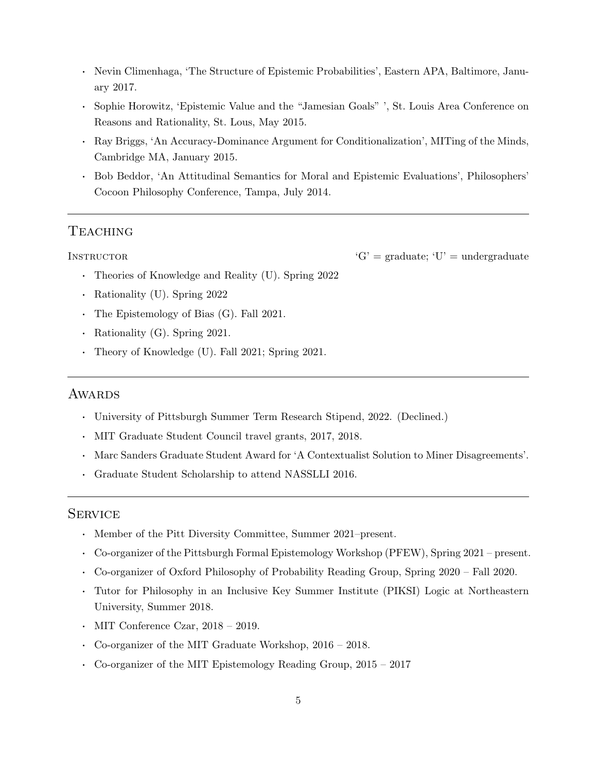- · Nevin Climenhaga, 'The Structure of Epistemic Probabilities', Eastern APA, Baltimore, January 2017.
- · Sophie Horowitz, 'Epistemic Value and the "Jamesian Goals" ', St. Louis Area Conference on Reasons and Rationality, St. Lous, May 2015.
- · Ray Briggs, 'An Accuracy-Dominance Argument for Conditionalization', MITing of the Minds, Cambridge MA, January 2015.
- · Bob Beddor, 'An Attitudinal Semantics for Moral and Epistemic Evaluations', Philosophers' Cocoon Philosophy Conference, Tampa, July 2014.

# **TEACHING**

- INSTRUCTOR  $'G' = \text{graduate}; 'U' = \text{undergraduate}$ 
	- · Theories of Knowledge and Reality (U). Spring 2022
	- · Rationality (U). Spring 2022
	- · The Epistemology of Bias (G). Fall 2021.
	- · Rationality (G). Spring 2021.
	- · Theory of Knowledge (U). Fall 2021; Spring 2021.

# **AWARDS**

- · University of Pittsburgh Summer Term Research Stipend, 2022. (Declined.)
- · MIT Graduate Student Council travel grants, 2017, 2018.
- · Marc Sanders Graduate Student Award for 'A Contextualist Solution to Miner Disagreements'.
- · Graduate Student Scholarship to attend NASSLLI 2016.

#### **SERVICE**

- · Member of the Pitt Diversity Committee, Summer 2021–present.
- · Co-organizer of the Pittsburgh Formal Epistemology Workshop (PFEW), Spring 2021 present.
- · Co-organizer of Oxford Philosophy of Probability Reading Group, Spring 2020 Fall 2020.
- · Tutor for Philosophy in an Inclusive Key Summer Institute (PIKSI) Logic at Northeastern University, Summer 2018.
- MIT Conference Czar,  $2018 2019$ .
- · Co-organizer of the MIT Graduate Workshop, 2016 2018.
- · Co-organizer of the MIT Epistemology Reading Group, 2015 2017